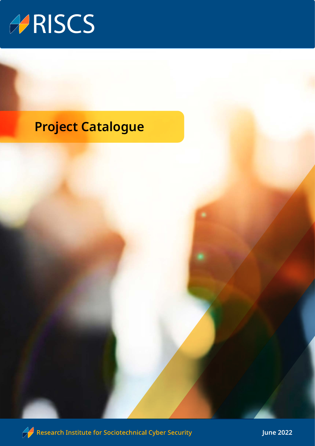

## **Project Catalogue**



 $\mathscr{D}$  Research Institute for Sociotechnical Cyber Security

**June 2022**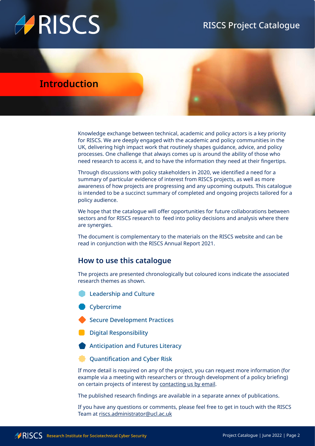## RISCS Project Catalogue

# ARISCS

## **Introduction**

Knowledge exchange between technical, academic and policy actors is a key priority for RISCS. We are deeply engaged with the academic and policy communities in the UK, delivering high impact work that routinely shapes guidance, advice, and policy processes. One challenge that always comes up is around the ability of those who need research to access it, and to have the information they need at their fingertips.

Through discussions with policy stakeholders in 2020, we identified a need for a summary of particular evidence of interest from RISCS projects, as well as more awareness of how projects are progressing and any upcoming outputs. This catalogue is intended to be a succinct summary of completed and ongoing projects tailored for a policy audience.

We hope that the catalogue will offer opportunities for future collaborations between sectors and for RISCS research to feed into policy decisions and analysis where there are synergies.

The document is complementary to the materials on the RISCS website and can be read in conjunction with the RISCS Annual Report 2021.

### **How to use this catalogue**

The projects are presented chronologically but coloured icons indicate the associated research themes as shown.

 Leadership and Culture

**Cybercrime** 

Secure Development Practices

Digital Responsibility

Anticipation and Futures Literacy

Quantification and Cyber Risk

If more detail is required on any of the project, you can request more information (for example via a meeting with researchers or through development of a policy briefing) on certain projects of interest by [contacting us by email.](mailto:riscs.administrator@ucl.ac.uk)

The published research findings are available in a separate annex of publications.

If you have any questions or comments, please feel free to get in touch with the RISCS Team at [riscs.administrator@ucl.ac.uk](mailto:riscs.administrator@ucl.ac.uk)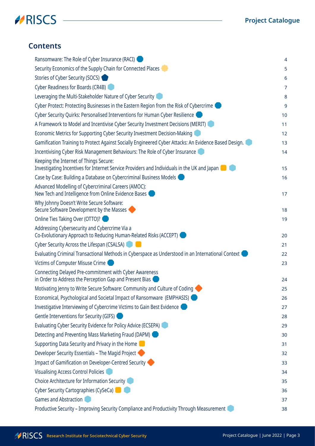



### **Contents**

| Ransomware: The Role of Cyber Insurance (RACI)                                                                                        | 4              |
|---------------------------------------------------------------------------------------------------------------------------------------|----------------|
| Security Economics of the Supply Chain for Connected Places                                                                           | 5              |
| Stories of Cyber Security (SOCS)                                                                                                      | 6              |
| Cyber Readiness for Boards (CR4B)                                                                                                     | $\overline{7}$ |
| Leveraging the Multi-Stakeholder Nature of Cyber Security I                                                                           | 8              |
| Cyber Protect: Protecting Businesses in the Eastern Region from the Risk of Cybercrime                                                | 9              |
| Cyber Security Quirks: Personalised Interventions for Human Cyber Resilience                                                          | 10             |
| A Framework to Model and Incentivise Cyber Security Investment Decisions (MERIT)                                                      | 11             |
| Economic Metrics for Supporting Cyber Security Investment Decision-Making                                                             | 12             |
| Gamification Training to Protect Against Socially Engineered Cyber Attacks: An Evidence Based Design. I                               | 13             |
| Incentivising Cyber Risk Management Behaviours: The Role of Cyber Insurance                                                           | 14             |
| Keeping the Internet of Things Secure:<br>Investigating Incentives for Internet Service Providers and Individuals in the UK and Japan | 15             |
| Case by Case: Building a Database on Cybercriminal Business Models                                                                    | 16             |
| Advanced Modelling of Cybercriminal Careers (AMOC):<br>New Tech and Intelligence from Online Evidence Bases                           | 17             |
| Why Johnny Doesn't Write Secure Software:<br>Secure Software Development by the Masses                                                | 18             |
| Online Ties Taking Over (OTTO)?                                                                                                       | 19             |
| Addressing Cybersecurity and Cybercrime Via a<br>Co-Evolutionary Approach to Reducing Human-Related Risks (ACCEPT)                    | 20             |
| Cyber Security Across the Lifespan (CSALSA)                                                                                           | 21             |
| Evaluating Criminal Transactional Methods in Cyberspace as Understood in an International Context (                                   | 22             |
| Victims of Computer Misuse Crime                                                                                                      | 23             |
| Connecting Delayed Pre-commitment with Cyber Awareness<br>in Order to Address the Perception Gap and Present Bias (                   | 24             |
| Motivating Jenny to Write Secure Software: Community and Culture of Coding                                                            | 25             |
| Economical, Psychological and Societal Impact of Ransomware (EMPHASIS)                                                                | 26             |
| Investigative Interviewing of Cybercrime Victims to Gain Best Evidence                                                                | 27             |
| Gentle Interventions for Security (GIFS)                                                                                              | 28             |
| Evaluating Cyber Security Evidence for Policy Advice (ECSEPA)                                                                         | 29             |
| Detecting and Preventing Mass Marketing Fraud (DAPM)                                                                                  | 30             |
| Supporting Data Security and Privacy in the Home                                                                                      | 31             |
| Developer Security Essentials - The Magid Project                                                                                     | 32             |
| Impact of Gamification on Developer-Centred Security                                                                                  | 33             |
| <b>Visualising Access Control Policies</b>                                                                                            | 34             |
| Choice Architecture for Information Security                                                                                          | 35             |
| Cyber Security Cartographies (CySeCa)                                                                                                 | 36             |
| <b>Games and Abstraction</b>                                                                                                          | 37             |
| Productive Security - Improving Security Compliance and Productivity Through Measurement                                              | 38             |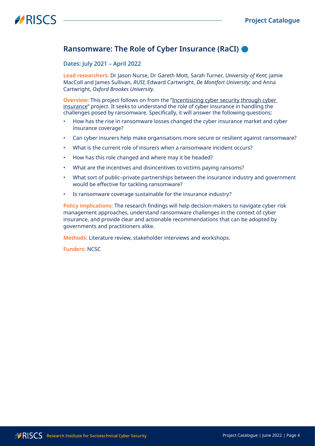### <span id="page-3-0"></span>**Ransomware: The Role of Cyber Insurance (RaCI)**

#### Dates: July 2021 – April 2022

**Lead researchers:** Dr Jason Nurse, Dr Gareth Mott, Sarah Turner, *University of Kent*; Jamie MacColl and James Sullivan, *RUSI*; Edward Cartwright, *De Montfort University;* and Anna Cartwright, *Oxford Brookes University*.

**Overview:** This project follows on from the "Incentisizing cyber security through cyber [insurance"](#page-13-0) project. It seeks to understand the role of cyber insurance in handling the challenges posed by ransomware. Specifically, it will answer the following questions:

- How has the rise in ransomware losses changed the cyber insurance market and cyber insurance coverage?
- Can cyber insurers help make organisations more secure or resilient against ransomware?
- What is the current role of insurers when a ransomware incident occurs?
- How has this role changed and where may it be headed?
- What are the incentives and disincentives to victims paying ransoms?
- What sort of public–private partnerships between the insurance industry and government would be effective for tackling ransomware?
- Is ransomware coverage sustainable for the insurance industry?

**Policy implications:** The research findings will help decision-makers to navigate cyber risk management approaches, understand ransomware challenges in the context of cyber insurance, and provide clear and actionable recommendations that can be adopted by governments and practitioners alike.

**Methods:** Literature review, stakeholder interviews and workshops.

**Funders:** NCSC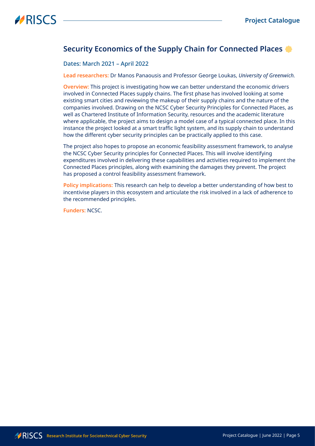## <span id="page-4-0"></span>**Security Economics of the Supply Chain for Connected Places**

#### Dates: March 2021 – April 2022

**Lead researchers:** Dr Manos Panaousis and Professor George Loukas, *University of Greenwich.*

**Overview:** This project is investigating how we can better understand the economic drivers involved in Connected Places supply chains. The first phase has involved looking at some existing smart cities and reviewing the makeup of their supply chains and the nature of the companies involved. Drawing on the NCSC Cyber Security Principles for Connected Places, as well as Chartered Institute of Information Security, resources and the academic literature where applicable, the project aims to design a model case of a typical connected place. In this instance the project looked at a smart traffic light system, and its supply chain to understand how the different cyber security principles can be practically applied to this case.

The project also hopes to propose an economic feasibility assessment framework, to analyse the NCSC Cyber Security principles for Connected Places. This will involve identifying expenditures involved in delivering these capabilities and activities required to implement the Connected Places principles, along with examining the damages they prevent. The project has proposed a control feasibility assessment framework.

**Policy implications:** This research can help to develop a better understanding of how best to incentivise players in this ecosystem and articulate the risk involved in a lack of adherence to the recommended principles.

**Funders:** NCSC.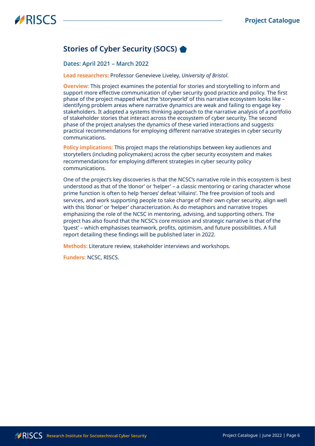## <span id="page-5-0"></span>**Stories of Cyber Security (SOCS)**

#### Dates: April 2021 – March 2022

**Lead researchers:** Professor Genevieve Liveley, *University of Bristol*.

**Overview:** This project examines the potential for stories and storytelling to inform and support more effective communication of cyber security good practice and policy. The first phase of the project mapped what the 'storyworld' of this narrative ecosystem looks like – identifying problem areas where narrative dynamics are weak and failing to engage key stakeholders. It adopted a systems thinking approach to the narrative analysis of a portfolio of stakeholder stories that interact across the ecosystem of cyber security. The second phase of the project analyses the dynamics of these varied interactions and suggests practical recommendations for employing different narrative strategies in cyber security communications.

**Policy implications:** This project maps the relationships between key audiences and storytellers (including policymakers) across the cyber security ecosystem and makes recommendations for employing different strategies in cyber security policy communications.

One of the project's key discoveries is that the NCSC's narrative role in this ecosystem is best understood as that of the 'donor' or 'helper' – a classic mentoring or caring character whose prime function is often to help 'heroes' defeat 'villains'. The free provision of tools and services, and work supporting people to take charge of their own cyber security, align well with this 'donor' or 'helper' characterization. As do metaphors and narrative tropes emphasizing the role of the NCSC in mentoring, advising, and supporting others. The project has also found that the NCSC's core mission and strategic narrative is that of the 'quest' – which emphasises teamwork, profits, optimism, and future possibilities. A full report detailing these findings will be published later in 2022.

**Methods:** Literature review, stakeholder interviews and workshops.

**Funders:** NCSC, RISCS.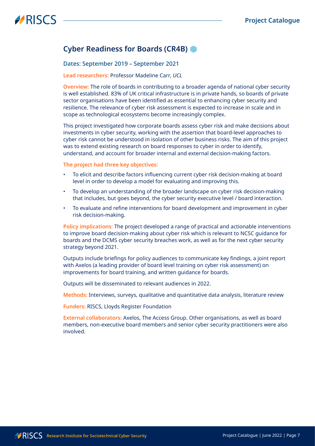### <span id="page-6-1"></span><span id="page-6-0"></span>**Cyber Readiness for Boards (CR4B)**

#### Dates: September 2019 – September 2021

#### **Lead researchers:** Professor Madeline Carr, *UCL*

**Overview:** The role of boards in contributing to a broader agenda of national cyber security is well established. 83% of UK critical infrastructure is in private hands, so boards of private sector organisations have been identified as essential to enhancing cyber security and resilience. The relevance of cyber risk assessment is expected to increase in scale and in scope as technological ecosystems become increasingly complex.

This project investigated how corporate boards assess cyber risk and make decisions about investments in cyber security, working with the assertion that board-level approaches to cyber risk cannot be understood in isolation of other business risks. The aim of this project was to extend existing research on board responses to cyber in order to identify, understand, and account for broader internal and external decision-making factors.

#### **The project had three key objectives:**

- To elicit and describe factors influencing current cyber risk decision-making at board level in order to develop a model for evaluating and improving this.
- To develop an understanding of the broader landscape on cyber risk decision-making that includes, but goes beyond, the cyber security executive level / board interaction.
- To evaluate and refine interventions for board development and improvement in cyber risk decision-making.

**Policy implications:** The project developed a range of practical and actionable interventions to improve board decision-making about cyber risk which is relevant to NCSC guidance for boards and the DCMS cyber security breaches work, as well as for the next cyber security strategy beyond 2021.

Outputs include briefings for policy audiences to communicate key findings, a joint report with Axelos (a leading provider of board level training on cyber risk assessment) on improvements for board training, and written guidance for boards.

Outputs will be disseminated to relevant audiences in 2022.

**Methods:** Interviews, surveys, qualitative and quantitative data analysis, literature review

**Funders:** RISCS, Lloyds Register Foundation

**External collaborators:** Axelos, The Access Group. Other organisations, as well as board members, non-executive board members and senior cyber security practitioners were also involved.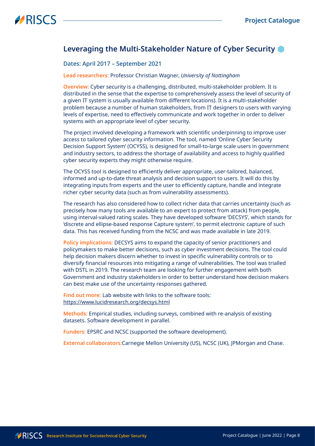### <span id="page-7-0"></span>**Leveraging the Multi-Stakeholder Nature of Cyber Security**

#### Dates: April 2017 – September 2021

**Lead researchers:** Professor Christian Wagner, *University of Nottingham*

**Overview:** Cyber security is a challenging, distributed, multi-stakeholder problem. It is distributed in the sense that the expertise to comprehensively assess the level of security of a given IT system is usually available from different locations). It is a multi-stakeholder problem because a number of human stakeholders, from IT designers to users with varying levels of expertise, need to effectively communicate and work together in order to deliver systems with an appropriate level of cyber security.

The project involved developing a framework with scientific underpinning to improve user access to tailored cyber security information. The tool, named 'Online Cyber Security Decision Support System' (OCYSS), is designed for small-to-large scale users in government and industry sectors, to address the shortage of availability and access to highly qualified cyber security experts they might otherwise require.

The OCYSS tool is designed to efficiently deliver appropriate, user-tailored, balanced, informed and up-to-date threat analysis and decision support to users. It will do this by integrating inputs from experts and the user to efficiently capture, handle and integrate richer cyber security data (such as from vulnerability assessments).

The research has also considered how to collect richer data that carries uncertainty (such as precisely how many tools are available to an expert to protect from attack) from people, using interval-valued rating scales. They have developed software 'DECSYS', which stands for 'discrete and ellipse-based response Capture system', to permit electronic capture of such data. This has received funding from the NCSC and was made available in late 2019.

**Policy implications:** DECSYS aims to expand the capacity of senior practitioners and policymakers to make better decisions, such as cyber investment decisions. The tool could help decision makers discern whether to invest in specific vulnerability controls or to diversify financial resources into mitigating a range of vulnerabilities. The tool was trialled with DSTL in 2019. The research team are looking for further engagement with both Government and industry stakeholders in order to better understand how decision makers can best make use of the uncertainty responses gathered.

**Find out more:** Lab website with links to the software tools: <https://www.lucidresearch.org/decsys.html>

**Methods:** Empirical studies, including surveys, combined with re-analysis of existing datasets. Software development in parallel.

**Funders:** EPSRC and NCSC (supported the software development).

**External collaborators:**Carnegie Mellon University (US), NCSC (UK), JPMorgan and Chase.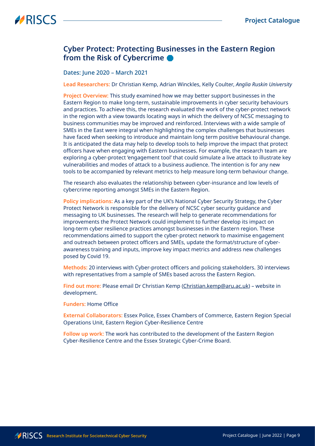### <span id="page-8-0"></span>**Cyber Protect: Protecting Businesses in the Eastern Region from the Risk of Cybercrime**

#### Dates: June 2020 – March 2021

**Lead Researchers:** Dr Christian Kemp, Adrian Winckles, Kelly Coulter, *Anglia Ruskin University*

**Project Overview:** This study examined how we may better support businesses in the Eastern Region to make long-term, sustainable improvements in cyber security behaviours and practices. To achieve this, the research evaluated the work of the cyber-protect network in the region with a view towards locating ways in which the delivery of NCSC messaging to business communities may be improved and reinforced. Interviews with a wide sample of SMEs in the East were integral when highlighting the complex challenges that businesses have faced when seeking to introduce and maintain long term positive behavioural change. It is anticipated the data may help to develop tools to help improve the impact that protect officers have when engaging with Eastern businesses. For example, the research team are exploring a cyber-protect 'engagement tool' that could simulate a live attack to illustrate key vulnerabilities and modes of attack to a business audience. The intention is for any new tools to be accompanied by relevant metrics to help measure long-term behaviour change.

The research also evaluates the relationship between cyber-insurance and low levels of cybercrime reporting amongst SMEs in the Eastern Region.

**Policy implications:** As a key part of the UK's National Cyber Security Strategy, the Cyber Protect Network is responsible for the delivery of NCSC cyber security guidance and messaging to UK businesses. The research will help to generate recommendations for improvements the Protect Network could implement to further develop its impact on long-term cyber resilience practices amongst businesses in the Eastern region. These recommendations aimed to support the cyber-protect network to maximise engagement and outreach between protect officers and SMEs, update the format/structure of cyberawareness training and inputs, improve key impact metrics and address new challenges posed by Covid 19.

**Methods:** 20 interviews with Cyber-protect officers and policing stakeholders. 30 interviews with representatives from a sample of SMEs based across the Eastern Region.

**Find out more:** Please email Dr Christian Kemp [\(Christian.kemp@aru.ac.uk](mailto:Christian.kemp@aru.ac.uk)) – website in development.

#### **Funders:** Home Office

**External Collaborators:** Essex Police, Essex Chambers of Commerce, Eastern Region Special Operations Unit, Eastern Region Cyber-Resilience Centre

**Follow up work:** The work has contributed to the development of the Eastern Region Cyber-Resilience Centre and the Essex Strategic Cyber-Crime Board.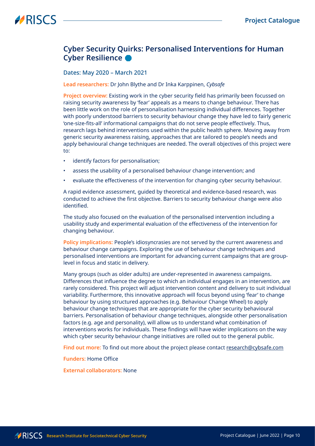## <span id="page-9-0"></span>**Cyber Security Quirks: Personalised Interventions for Human Cyber Resilience**

#### Dates: May 2020 – March 2021

**Lead researchers:** Dr John Blythe and Dr Inka Karppinen, *Cybsafe*

**Project overview:** Existing work in the cyber security field has primarily been focussed on raising security awareness by 'fear' appeals as a means to change behaviour. There has been little work on the role of personalisation harnessing individual differences. Together with poorly understood barriers to security behaviour change they have led to fairly generic 'one-size-fits-all' informational campaigns that do not serve people effectively. Thus, research lags behind interventions used within the public health sphere. Moving away from generic security awareness raising, approaches that are tailored to people's needs and apply behavioural change techniques are needed. The overall objectives of this project were to:

- identify factors for personalisation;
- assess the usability of a personalised behaviour change intervention; and
- evaluate the effectiveness of the intervention for changing cyber security behaviour.

A rapid evidence assessment, guided by theoretical and evidence-based research, was conducted to achieve the first objective. Barriers to security behaviour change were also identified.

The study also focused on the evaluation of the personalised intervention including a usability study and experimental evaluation of the effectiveness of the intervention for changing behaviour.

**Policy implications:** People's idiosyncrasies are not served by the current awareness and behaviour change campaigns. Exploring the use of behaviour change techniques and personalised interventions are important for advancing current campaigns that are grouplevel in focus and static in delivery.

Many groups (such as older adults) are under-represented in awareness campaigns. Differences that influence the degree to which an individual engages in an intervention, are rarely considered. This project will adjust intervention content and delivery to suit individual variability. Furthermore, this innovative approach will focus beyond using 'fear' to change behaviour by using structured approaches (e.g. Behaviour Change Wheel) to apply behaviour change techniques that are appropriate for the cyber security behavioural barriers. Personalisation of behaviour change techniques, alongside other personalisation factors (e.g. age and personality), will allow us to understand what combination of interventions works for individuals. These findings will have wider implications on the way which cyber security behaviour change initiatives are rolled out to the general public.

**Find out more:** To find out more about the project please contact [research@cybsafe.com](mailto:research@cybsafe.com)

**Funders:** Home Office

**External collaborators:** None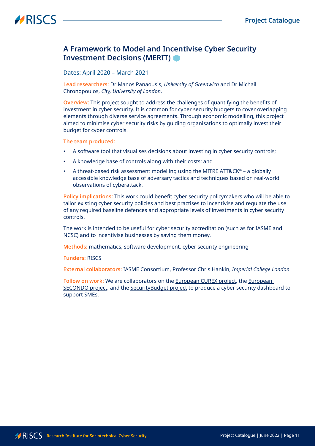### <span id="page-10-0"></span>**A Framework to Model and Incentivise Cyber Security Investment Decisions (MERIT)**

#### Dates: April 2020 – March 2021

**Lead researchers:** Dr Manos Panaousis, *University of Greenwich* and Dr Michail Chronopoulos, *City, University of London*.

**Overview:** This project sought to address the challenges of quantifying the benefits of investment in cyber security. It is common for cyber security budgets to cover overlapping elements through diverse service agreements. Through economic modelling, this project aimed to minimise cyber security risks by guiding organisations to optimally invest their budget for cyber controls.

**The team produced:**

- A software tool that visualises decisions about investing in cyber security controls;
- A knowledge base of controls along with their costs; and
- A threat-based risk assessment modelling using the MITRE ATT&CK® a globally accessible knowledge base of adversary tactics and techniques based on real-world observations of cyberattack.

**Policy implications:** This work could benefit cyber security policymakers who will be able to tailor existing cyber security policies and best practises to incentivise and regulate the use of any required baseline defences and appropriate levels of investments in cyber security controls.

The work is intended to be useful for cyber security accreditation (such as for IASME and NCSC) and to incentivise businesses by saving them money.

**Methods:** mathematics, software development, cyber security engineering

**Funders:** RISCS

**External collaborators:** IASME Consortium, Professor Chris Hankin, *Imperial College London* 

Follow on work: We are collaborators on the **European CUREX** project, the **European** [SECONDO project,](https://secondo-h2020.eu/) and the [SecurityBudget project](https://www.manospanaousis.com/project/securitybudget/) to produce a cyber security dashboard to support SMEs.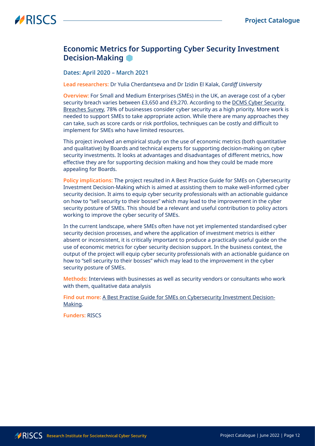### <span id="page-11-0"></span>**Economic Metrics for Supporting Cyber Security Investment Decision-Making**

#### Dates: April 2020 – March 2021

**Lead researchers:** Dr Yulia Cherdantseva and Dr Izidin El Kalak, *Cardiff University*

**Overview:** For Small and Medium Enterprises (SMEs) in the UK, an average cost of a cyber security breach varies between £3,650 and £9,270. According to the [DCMS Cyber Security](https://www.gov.uk/government/statistics/cyber-security-breaches-survey-2020/cyber-security-breaches-survey-2020)  [Breaches Survey](https://www.gov.uk/government/statistics/cyber-security-breaches-survey-2020/cyber-security-breaches-survey-2020), 78% of businesses consider cyber security as a high priority. More work is needed to support SMEs to take appropriate action. While there are many approaches they can take, such as score cards or risk portfolios, techniques can be costly and difficult to implement for SMEs who have limited resources.

This project involved an empirical study on the use of economic metrics (both quantitative and qualitative) by Boards and technical experts for supporting decision-making on cyber security investments. It looks at advantages and disadvantages of different metrics, how effective they are for supporting decision making and how they could be made more appealing for Boards.

**Policy implications:** The project resulted in A Best Practice Guide for SMEs on Cybersecurity Investment Decision-Making which is aimed at assisting them to make well-informed cyber security decision. It aims to equip cyber security professionals with an actionable guidance on how to "sell security to their bosses" which may lead to the improvement in the cyber security posture of SMEs. This should be a relevant and useful contribution to policy actors working to improve the cyber security of SMEs.

In the current landscape, where SMEs often have not yet implemented standardised cyber security decision processes, and where the application of investment metrics is either absent or inconsistent, it is critically important to produce a practically useful guide on the use of economic metrics for cyber security decision support. In the business context, the output of the project will equip cyber security professionals with an actionable guidance on how to "sell security to their bosses" which may lead to the improvement in the cyber security posture of SMEs.

**Methods:** Interviews with businesses as well as security vendors or consultants who work with them, qualitative data analysis

**Find out more:** [A Best Practise Guide for SMEs on Cybersecurity Investment Decision-](https://www.riscs.org.uk/cybersecurity-investment-decision-making-best-practice-guide-for-smes/)[Making.](https://www.riscs.org.uk/cybersecurity-investment-decision-making-best-practice-guide-for-smes/)

**Funders:** RISCS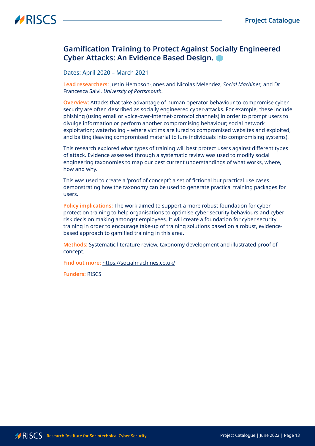### <span id="page-12-0"></span>**Gamification Training to Protect Against Socially Engineered Cyber Attacks: An Evidence Based Design.**

#### Dates: April 2020 – March 2021

**Lead researchers:** Justin Hempson-Jones and Nicolas Melendez, *Social Machines,* and Dr Francesca Salvi, *University of Portsmouth.*

**Overview:** Attacks that take advantage of human operator behaviour to compromise cyber security are often described as socially engineered cyber-attacks. For example, these include phishing (using email or voice-over-internet-protocol channels) in order to prompt users to divulge information or perform another compromising behaviour; social network exploitation; waterholing – where victims are lured to compromised websites and exploited, and baiting (leaving compromised material to lure individuals into compromising systems).

This research explored what types of training will best protect users against different types of attack. Evidence assessed through a systematic review was used to modify social engineering taxonomies to map our best current understandings of what works, where, how and why.

This was used to create a 'proof of concept': a set of fictional but practical use cases demonstrating how the taxonomy can be used to generate practical training packages for users.

**Policy implications:** The work aimed to support a more robust foundation for cyber protection training to help organisations to optimise cyber security behaviours and cyber risk decision making amongst employees. It will create a foundation for cyber security training in order to encourage take-up of training solutions based on a robust, evidencebased approach to gamified training in this area.

**Methods:** Systematic literature review, taxonomy development and illustrated proof of concept.

**Find out more:** <https://socialmachines.co.uk/>

**Funders:** RISCS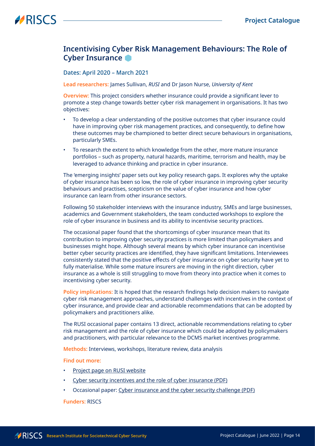### <span id="page-13-0"></span>**Incentivising Cyber Risk Management Behaviours: The Role of Cyber Insurance**

Dates: April 2020 – March 2021

**Lead researchers:** James Sullivan, *RUSI* and Dr Jason Nurse, *University of Kent*

**Overview:** This project considers whether insurance could provide a significant lever to promote a step change towards better cyber risk management in organisations. It has two objectives:

- To develop a clear understanding of the positive outcomes that cyber insurance could have in improving cyber risk management practices, and consequently, to define how these outcomes may be championed to better direct secure behaviours in organisations, particularly SMEs.
- To research the extent to which knowledge from the other, more mature insurance portfolios – such as property, natural hazards, maritime, terrorism and health, may be leveraged to advance thinking and practice in cyber insurance.

The 'emerging insights' paper sets out key policy research gaps. It explores why the uptake of cyber insurance has been so low, the role of cyber insurance in improving cyber security behaviours and practises, scepticism on the value of cyber insurance and how cyber insurance can learn from other insurance sectors.

Following 50 stakeholder interviews with the insurance industry, SMEs and large businesses, academics and Government stakeholders, the team conducted workshops to explore the role of cyber insurance in business and its ability to incentivise security practices.

The occasional paper found that the shortcomings of cyber insurance mean that its contribution to improving cyber security practices is more limited than policymakers and businesses might hope. Although several means by which cyber insurance can incentivise better cyber security practices are identified, they have significant limitations. Interviewees consistently stated that the positive effects of cyber insurance on cyber security have yet to fully materialise. While some mature insurers are moving in the right direction, cyber insurance as a whole is still struggling to move from theory into practice when it comes to incentivising cyber security.

**Policy implications:** It is hoped that the research findings help decision makers to navigate cyber risk management approaches, understand challenges with incentives in the context of cyber insurance, and provide clear and actionable recommendations that can be adopted by policymakers and practitioners alike.

The RUSI occasional paper contains 13 direct, actionable recommendations relating to cyber risk management and the role of cyber insurance which could be adopted by policymakers and practitioners, with particular relevance to the DCMS market incentives programme.

**Methods:** Interviews, workshops, literature review, data analysis

#### **Find out more:**

- [Project](https://rusi.org/projects/incentivising-cybersecurity-through-cyber-insurance) page on RUSI website
- Cyber security incentives and the role of cyber insurance [\(PDF\)](https://rusi.org/explore-our-research/publications/emerging-insights/cyber-security-incentives-and-role-cyber-insurance)
- Occasional paper: [Cyber insurance and the cyber security challenge \(PDF\)](https://rusi.org/explore-our-research/publications/occasional-papers/cyber-insurance-and-cyber-security-challenge)

#### **Funders:** RISCS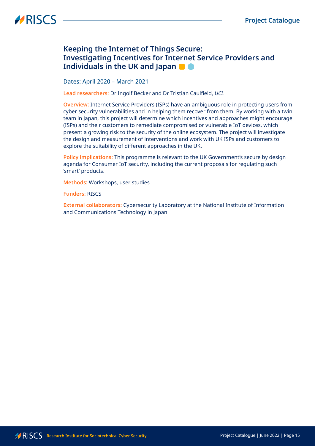### <span id="page-14-0"></span>**Keeping the Internet of Things Secure: Investigating Incentives for Internet Service Providers and Individuals in the UK and Japan**

Dates: April 2020 – March 2021

**Lead researchers:** Dr Ingolf Becker and Dr Tristian Caulfield, *UCL*

**Overview:** Internet Service Providers (ISPs) have an ambiguous role in protecting users from cyber security vulnerabilities and in helping them recover from them. By working with a twin team in Japan, this project will determine which incentives and approaches might encourage (ISPs) and their customers to remediate compromised or vulnerable IoT devices, which present a growing risk to the security of the online ecosystem. The project will investigate the design and measurement of interventions and work with UK ISPs and customers to explore the suitability of different approaches in the UK.

**Policy implications:** This programme is relevant to the UK Government's secure by design agenda for Consumer IoT security, including the current proposals for regulating such 'smart' products.

**Methods:** Workshops, user studies

**Funders:** RISCS

**External collaborators:** Cybersecurity Laboratory at the National Institute of Information and Communications Technology in Japan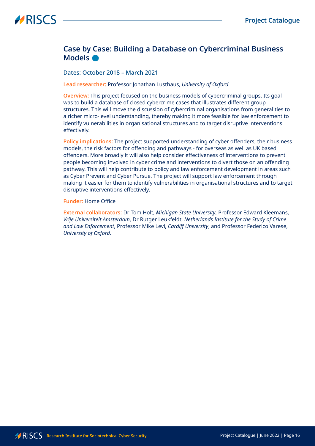### <span id="page-15-0"></span>**Case by Case: Building a Database on Cybercriminal Business Models**

#### Dates: October 2018 – March 2021

#### **Lead researcher:** Professor Jonathan Lusthaus, *University of Oxford*

**Overview:** This project focused on the business models of cybercriminal groups. Its goal was to build a database of closed cybercrime cases that illustrates different group structures. This will move the discussion of cybercriminal organisations from generalities to a richer micro-level understanding, thereby making it more feasible for law enforcement to identify vulnerabilities in organisational structures and to target disruptive interventions effectively.

**Policy implications:** The project supported understanding of cyber offenders, their business models, the risk factors for offending and pathways - for overseas as well as UK based offenders. More broadly it will also help consider effectiveness of interventions to prevent people becoming involved in cyber crime and interventions to divert those on an offending pathway. This will help contribute to policy and law enforcement development in areas such as Cyber Prevent and Cyber Pursue. The project will support law enforcement through making it easier for them to identify vulnerabilities in organisational structures and to target disruptive interventions effectively.

#### **Funder:** Home Office

**External collaborators:** Dr Tom Holt, *Michigan State University*, Professor Edward Kleemans, *Vrije Universiteit Amsterdam*, Dr Rutger Leukfeldt, *Netherlands Institute for the Study of Crime and Law Enforcement*, Professor Mike Levi, *Cardiff University*, and Professor Federico Varese, *University of Oxford*.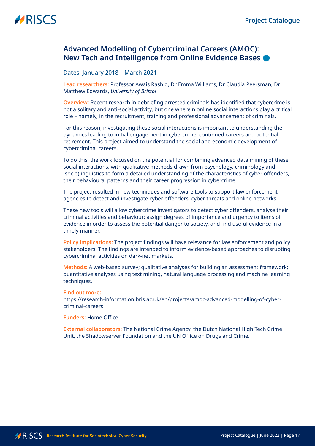### <span id="page-16-0"></span>**Advanced Modelling of Cybercriminal Careers (AMOC): New Tech and Intelligence from Online Evidence Bases**

#### Dates: January 2018 – March 2021

**Lead researchers:** Professor Awais Rashid, Dr Emma Williams, Dr Claudia Peersman, Dr Matthew Edwards, *University of Bristol*

**Overview:** Recent research in debriefing arrested criminals has identified that cybercrime is not a solitary and anti-social activity, but one wherein online social interactions play a critical role – namely, in the recruitment, training and professional advancement of criminals.

For this reason, investigating these social interactions is important to understanding the dynamics leading to initial engagement in cybercrime, continued careers and potential retirement. This project aimed to understand the social and economic development of cybercriminal careers.

To do this, the work focused on the potential for combining advanced data mining of these social interactions, with qualitative methods drawn from psychology, criminology and (socio)linguistics to form a detailed understanding of the characteristics of cyber offenders, their behavioural patterns and their career progression in cybercrime.

The project resulted in new techniques and software tools to support law enforcement agencies to detect and investigate cyber offenders, cyber threats and online networks.

These new tools will allow cybercrime investigators to detect cyber offenders, analyse their criminal activities and behaviour; assign degrees of importance and urgency to items of evidence in order to assess the potential danger to society, and find useful evidence in a timely manner.

**Policy implications:** The project findings will have relevance for law enforcement and policy stakeholders. The findings are intended to inform evidence-based approaches to disrupting cybercriminal activities on dark-net markets.

**Methods:** A web-based survey; qualitative analyses for building an assessment framework; quantitative analyses using text mining, natural language processing and machine learning techniques.

#### **Find out more:**

[https://research-information.bris.ac.uk/en/projects/amoc-advanced-modelling-of-cyber](https://research-information.bris.ac.uk/en/projects/amoc-advanced-modelling-of-cyber-criminal-careers)[criminal-careers](https://research-information.bris.ac.uk/en/projects/amoc-advanced-modelling-of-cyber-criminal-careers)

#### **Funders:** Home Office

**External collaborators:** The National Crime Agency, the Dutch National High Tech Crime Unit, the Shadowserver Foundation and the UN Office on Drugs and Crime.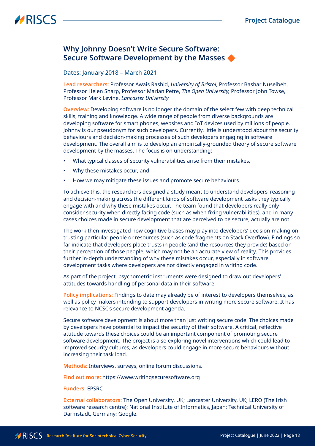### <span id="page-17-0"></span>**Why Johnny Doesn't Write Secure Software: Secure Software Development by the Masses**

#### Dates: January 2018 – March 2021

**Lead researchers:** Professor Awais Rashid, *University of Bristol*, Professor Bashar Nuseibeh, Professor Helen Sharp, Professor Marian Petre, *The Open University,* Professor John Towse, Professor Mark Levine, *Lancaster University*

**Overview:** Developing software is no longer the domain of the select few with deep technical skills, training and knowledge. A wide range of people from diverse backgrounds are developing software for smart phones, websites and IoT devices used by millions of people. Johnny is our pseudonym for such developers. Currently, little is understood about the security behaviours and decision-making processes of such developers engaging in software development. The overall aim is to develop an empirically-grounded theory of secure software development by the masses. The focus is on understanding:

- What typical classes of security vulnerabilities arise from their mistakes,
- Why these mistakes occur, and
- How we may mitigate these issues and promote secure behaviours.

To achieve this, the researchers designed a study meant to understand developers' reasoning and decision-making across the different kinds of software development tasks they typically engage with and why these mistakes occur. The team found that developers really only consider security when directly facing code (such as when fixing vulnerabilities), and in many cases choices made in secure development that are perceived to be secure, actually are not.

The work then investigated how cognitive biases may play into developers' decision-making on trusting particular people or resources (such as code fragments on Stack Overflow). Findings so far indicate that developers place trusts in people (and the resources they provide) based on their perception of those people, which may not be an accurate view of reality. This provides further in-depth understanding of why these mistakes occur, especially in software development tasks where developers are not directly engaged in writing code.

As part of the project, psychometric instruments were designed to draw out developers' attitudes towards handling of personal data in their software.

**Policy implications:** Findings to date may already be of interest to developers themselves, as well as policy makers intending to support developers in writing more secure software. It has relevance to NCSC's secure development agenda.

Secure software development is about more than just writing secure code. The choices made by developers have potential to impact the security of their software. A critical, reflective attitude towards these choices could be an important component of promoting secure software development. The project is also exploring novel interventions which could lead to improved security cultures, as developers could engage in more secure behaviours without increasing their task load.

**Methods:** Interviews, surveys, online forum discussions.

**Find out more:** <https://www.writingsecuresoftware.org>

**Funders:** EPSRC

**External collaborators:** The Open University, UK; Lancaster University, UK; LERO (The Irish software research centre); National Institute of Informatics, Japan; Technical University of Darmstadt, Germany; Google.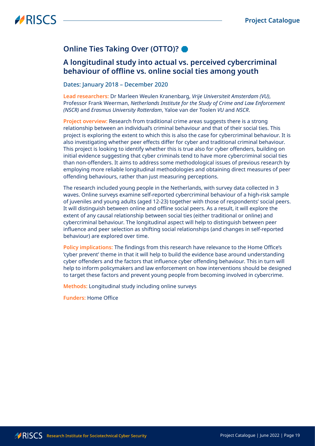## <span id="page-18-0"></span>**Online Ties Taking Over (OTTO)?**

### **A longitudinal study into actual vs. perceived cybercriminal behaviour of offline vs. online social ties among youth**

#### Dates: January 2018 – December 2020

**Lead researchers:** Dr Marleen Weulen Kranenbarg, *Vrije Universiteit Amsterdam (VU)*, Professor Frank Weerman, *Netherlands Institute for the Study of Crime and Law Enforcement (NSCR)* and *Erasmus University Rotterdam*, Yaloe van der Toolen *VU* and *NSCR*.

**Project overview:** Research from traditional crime areas suggests there is a strong relationship between an individual's criminal behaviour and that of their social ties. This project is exploring the extent to which this is also the case for cybercriminal behaviour. It is also investigating whether peer effects differ for cyber and traditional criminal behaviour. This project is looking to identify whether this is true also for cyber offenders, building on initial evidence suggesting that cyber criminals tend to have more cybercriminal social ties than non-offenders. It aims to address some methodological issues of previous research by employing more reliable longitudinal methodologies and obtaining direct measures of peer offending behaviours, rather than just measuring perceptions.

The research included young people in the Netherlands, with survey data collected in 3 waves. Online surveys examine self-reported cybercriminal behaviour of a high-risk sample of juveniles and young adults (aged 12-23) together with those of respondents' social peers. It will distinguish between online and offline social peers. As a result, it will explore the extent of any causal relationship between social ties (either traditional or online) and cybercriminal behaviour. The longitudinal aspect will help to distinguish between peer influence and peer selection as shifting social relationships (and changes in self-reported behaviour) are explored over time.

**Policy implications:** The findings from this research have relevance to the Home Office's 'cyber prevent' theme in that it will help to build the evidence base around understanding cyber offenders and the factors that influence cyber offending behaviour. This in turn will help to inform policymakers and law enforcement on how interventions should be designed to target these factors and prevent young people from becoming involved in cybercrime.

**Methods:** Longitudinal study including online surveys

**Funders:** Home Office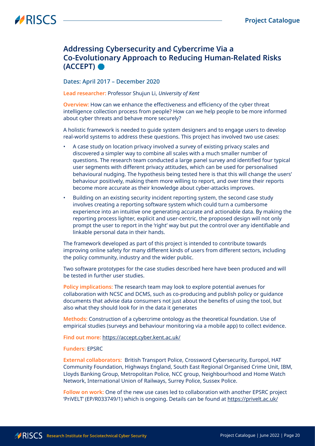### <span id="page-19-0"></span>**Addressing Cybersecurity and Cybercrime Via a Co-Evolutionary Approach to Reducing Human-Related Risks (ACCEPT)**

#### Dates: April 2017 – December 2020

**Lead researcher:** Professor Shujun Li, *University of Kent*

**Overview:** How can we enhance the effectiveness and efficiency of the cyber threat intelligence collection process from people? How can we help people to be more informed about cyber threats and behave more securely?

A holistic framework is needed to guide system designers and to engage users to develop real-world systems to address these questions. This project has involved two use cases:

- A case study on location privacy involved a survey of existing privacy scales and discovered a simpler way to combine all scales with a much smaller number of questions. The research team conducted a large panel survey and identified four typical user segments with different privacy attitudes, which can be used for personalised behavioural nudging. The hypothesis being tested here is that this will change the users' behaviour positively, making them more willing to report, and over time their reports become more accurate as their knowledge about cyber-attacks improves.
- Building on an existing security incident reporting system, the second case study involves creating a reporting software system which could turn a cumbersome experience into an intuitive one generating accurate and actionable data. By making the reporting process lighter, explicit and user-centric, the proposed design will not only prompt the user to report in the 'right' way but put the control over any identifiable and linkable personal data in their hands.

The framework developed as part of this project is intended to contribute towards improving online safety for many different kinds of users from different sectors, including the policy community, industry and the wider public.

Two software prototypes for the case studies described here have been produced and will be tested in further user studies.

**Policy implications:** The research team may look to explore potential avenues for collaboration with NCSC and DCMS, such as co-producing and publish policy or guidance documents that advise data consumers not just about the benefits of using the tool, but also what they should look for in the data it generates

**Methods:** Construction of a cybercrime ontology as the theoretical foundation. Use of empirical studies (surveys and behaviour monitoring via a mobile app) to collect evidence.

**Find out more:** <https://accept.cyber.kent.ac.uk/>

#### **Funders:** EPSRC

**External collaborators:** British Transport Police, Crossword Cybersecurity, Europol, HAT Community Foundation, Highways England, South East Regional Organised Crime Unit, IBM, Lloyds Banking Group, Metropolitan Police, NCC group, Neighbourhood and Home Watch Network, International Union of Railways, Surrey Police, Sussex Police.

**Follow on work:** One of the new use cases led to collaboration with another EPSRC project 'PriVELT' (EP/R033749/1) which is ongoing. Details can be found at <https://privelt.ac.uk/>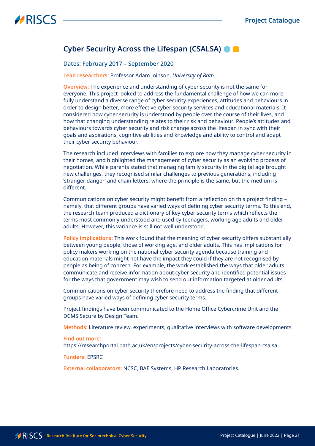### <span id="page-20-0"></span>**Cyber Security Across the Lifespan (CSALSA)**

#### Dates: February 2017 – September 2020

#### **Lead researchers:** Professor Adam Joinson, *University of Bath*

**Overview:** The experience and understanding of cyber security is not the same for everyone. This project looked to address the fundamental challenge of how we can more fully understand a diverse range of cyber security experiences, attitudes and behaviours in order to design better, more effective cyber security services and educational materials. It considered how cyber security is understood by people over the course of their lives, and how that changing understanding relates to their risk and behaviour. People's attitudes and behaviours towards cyber security and risk change across the lifespan in sync with their goals and aspirations, cognitive abilities and knowledge and ability to control and adapt their cyber security behaviour.

The research included interviews with families to explore how they manage cyber security in their homes, and highlighted the management of cyber security as an evolving process of negotiation. While parents stated that managing family security in the digital age brought new challenges, they recognised similar challenges to previous generations, including 'stranger danger' and chain letters, where the principle is the same, but the medium is different.

Communications on cyber security might benefit from a reflection on this project finding – namely, that different groups have varied ways of defining cyber security terms. To this end, the research team produced a dictionary of key cyber security terms which reflects the terms most commonly understood and used by teenagers, working age adults and older adults. However, this variance is still not well understood.

**Policy implications:** This work found that the meaning of cyber security differs substantially between young people, those of working age, and older adults. This has implications for policy makers working on the national cyber security agenda because training and education materials might not have the impact they could if they are not recognised by people as being of concern. For example, the work established the ways that older adults communicate and receive information about cyber security and identified potential issues for the ways that government may wish to send out information targeted at older adults.

Communications on cyber security therefore need to address the finding that different groups have varied ways of defining cyber security terms.

Project findings have been communicated to the Home Office Cybercrime Unit and the DCMS Secure by Design Team.

**Methods:** Literature review, experiments, qualitative interviews with software developments

#### **Find out more:**

[https://researchportal.bath.ac.uk/en/projects/cyber-security-across-the-lifespan-csalsa](https://researchportal.bath.ac.uk/en/projects/cyber-security-across-the-lifespan-csalsa )

#### **Funders:** EPSRC

**External collaborators:** NCSC, BAE Systems, HP Research Laboratories.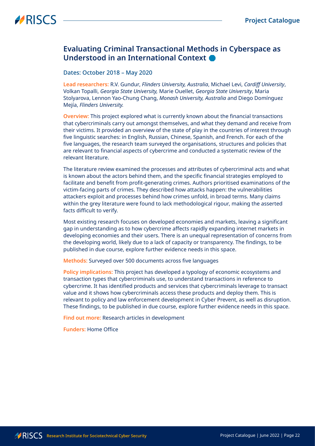### <span id="page-21-0"></span>**Evaluating Criminal Transactional Methods in Cyberspace as Understood in an International Context**

#### Dates: October 2018 – May 2020

**Lead researchers:** R.V. Gundur, *Flinders University, Australia*, Michael Levi, *Cardiff University*, Volkan Topalli, *Georgia State University,* Marie Ouellet, *Georgia State University*, Maria Stolyarova, Lennon Yao-Chung Chang, *Monash University, Australia* and Diego Domínguez Mejía, *Flinders University.*

**Overview:** This project explored what is currently known about the financial transactions that cybercriminals carry out amongst themselves, and what they demand and receive from their victims. It provided an overview of the state of play in the countries of interest through five linguistic searches: in English, Russian, Chinese, Spanish, and French. For each of the five languages, the research team surveyed the organisations, structures and policies that are relevant to financial aspects of cybercrime and conducted a systematic review of the relevant literature.

The literature review examined the processes and attributes of cybercriminal acts and what is known about the actors behind them, and the specific financial strategies employed to facilitate and benefit from profit-generating crimes. Authors prioritised examinations of the victim-facing parts of crimes. They described how attacks happen: the vulnerabilities attackers exploit and processes behind how crimes unfold, in broad terms. Many claims within the grey literature were found to lack methodological rigour, making the asserted facts difficult to verify.

Most existing research focuses on developed economies and markets, leaving a significant gap in understanding as to how cybercrime affects rapidly expanding internet markets in developing economies and their users. There is an unequal representation of concerns from the developing world, likely due to a lack of capacity or transparency. The findings, to be published in due course, explore further evidence needs in this space.

**Methods:** Surveyed over 500 documents across five languages

**Policy implications:** This project has developed a typology of economic ecosystems and transaction types that cybercriminals use, to understand transactions in reference to cybercrime. It has identified products and services that cybercriminals leverage to transact value and it shows how cybercriminals access these products and deploy them. This is relevant to policy and law enforcement development in Cyber Prevent, as well as disruption. These findings, to be published in due course, explore further evidence needs in this space.

**Find out more:** Research articles in development

**Funders:** Home Office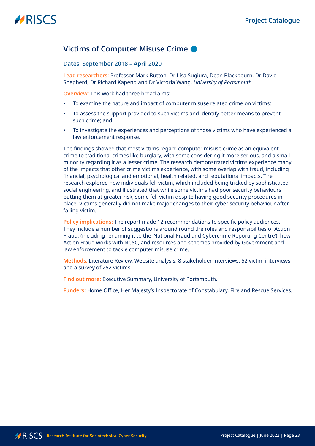### <span id="page-22-0"></span>**Victims of Computer Misuse Crime**

Dates: September 2018 – April 2020

**Lead researchers:** Professor Mark Button, Dr Lisa Sugiura, Dean Blackbourn, Dr David Shepherd, Dr Richard Kapend and Dr Victoria Wang, *University of Portsmouth*

**Overview:** This work had three broad aims:

- To examine the nature and impact of computer misuse related crime on victims;
- To assess the support provided to such victims and identify better means to prevent such crime; and
- To investigate the experiences and perceptions of those victims who have experienced a law enforcement response.

The findings showed that most victims regard computer misuse crime as an equivalent crime to traditional crimes like burglary, with some considering it more serious, and a small minority regarding it as a lesser crime. The research demonstrated victims experience many of the impacts that other crime victims experience, with some overlap with fraud, including financial, psychological and emotional, health related, and reputational impacts. The research explored how individuals fell victim, which included being tricked by sophisticated social engineering, and illustrated that while some victims had poor security behaviours putting them at greater risk, some fell victim despite having good security procedures in place. Victims generally did not make major changes to their cyber security behaviour after falling victim.

**Policy implications:** The report made 12 recommendations to specific policy audiences. They include a number of suggestions around round the roles and responsibilities of Action Fraud, (including renaming it to the 'National Fraud and Cybercrime Reporting Centre'), how Action Fraud works with NCSC, and resources and schemes provided by Government and law enforcement to tackle computer misuse crime.

**Methods:** Literature Review, Website analysis, 8 stakeholder interviews, 52 victim interviews and a survey of 252 victims.

**Find out more:** [Executive Summary, University of Portsmouth](https://researchportal.port.ac.uk/portal/files/20818541/Victims_of_Computer_Misuse_Executive_Summary.pdf).

**Funders:** Home Office, Her Majesty's Inspectorate of Constabulary, Fire and Rescue Services.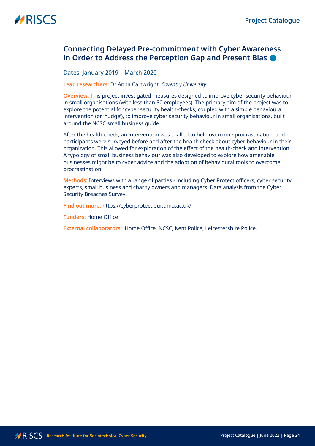### <span id="page-23-0"></span>**Connecting Delayed Pre-commitment with Cyber Awareness in Order to Address the Perception Gap and Present Bias**

#### Dates: January 2019 – March 2020

#### **Lead researchers:** Dr Anna Cartwright, *Coventry University*

**Overview:** This project investigated measures designed to improve cyber security behaviour in small organisations (with less than 50 employees). The primary aim of the project was to explore the potential for cyber security health-checks, coupled with a simple behavioural intervention (or 'nudge'), to improve cyber security behaviour in small organisations, built around the NCSC small business guide.

After the health-check, an intervention was trialled to help overcome procrastination, and participants were surveyed before and after the health check about cyber behaviour in their organization. This allowed for exploration of the effect of the health-check and intervention. A typology of small business behaviour was also developed to explore how amenable businesses might be to cyber advice and the adoption of behavioural tools to overcome procrastination.

**Methods:** Interviews with a range of parties - including Cyber Protect officers, cyber security experts, small business and charity owners and managers. Data analysis from the Cyber Security Breaches Survey.

**Find out more:** [https://cyberprotect.our.dmu.ac.uk/](https://cyberprotect.our.dmu.ac.uk/ ) 

**Funders:** Home Office

**External collaborators:** Home Office, NCSC, Kent Police, Leicestershire Police.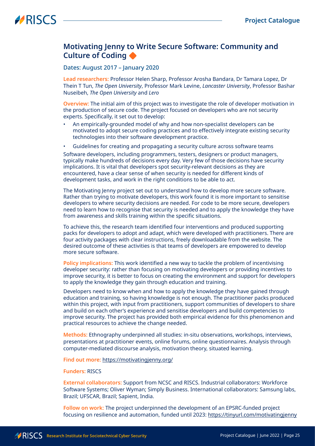### <span id="page-24-0"></span>**Motivating Jenny to Write Secure Software: Community and Culture of Coding**

Dates: August 2017 – January 2020

**Lead researchers:** Professor Helen Sharp, Professor Arosha Bandara, Dr Tamara Lopez, Dr Thein T Tun, *The Open University*, Professor Mark Levine, *Lancaster University*, Professor Bashar Nuseibeh, *The Open University* and *Lero*

**Overview:** The initial aim of this project was to investigate the role of developer motivation in the production of secure code. The project focused on developers who are not security experts. Specifically, it set out to develop:

- An empirically-grounded model of why and how non-specialist developers can be motivated to adopt secure coding practices and to effectively integrate existing security technologies into their software development practice.
- Guidelines for creating and propagating a security culture across software teams

Software developers, including programmers, testers, designers or product managers, typically make hundreds of decisions every day. Very few of those decisions have security implications. It is vital that developers spot security-relevant decisions as they are encountered, have a clear sense of when security is needed for different kinds of development tasks, and work in the right conditions to be able to act.

The Motivating Jenny project set out to understand how to develop more secure software. Rather than trying to motivate developers, this work found it is more important to sensitise developers to where security decisions are needed. For code to be more secure, developers need to learn how to recognise that security is needed and to apply the knowledge they have from awareness and skills training within the specific situations.

To achieve this, the research team identified four interventions and produced supporting packs for developers to adopt and adapt, which were developed with practitioners. There are four activity packages with clear instructions, freely downloadable from the website. The desired outcome of these activities is that teams of developers are empowered to develop more secure software.

**Policy implications:** This work identified a new way to tackle the problem of incentivising developer security: rather than focusing on motivating developers or providing incentives to improve security, it is better to focus on creating the environment and support for developers to apply the knowledge they gain through education and training.

Developers need to know when and how to apply the knowledge they have gained through education and training, so having knowledge is not enough. The practitioner packs produced within this project, with input from practitioners, support communities of developers to share and build on each other's experience and sensitise developers and build competencies to improve security. The project has provided both empirical evidence for this phenomenon and practical resources to achieve the change needed.

**Methods:** Ethnography underpinned all studies: in-situ observations, workshops, interviews, presentations at practitioner events, online forums, online questionnaires. Analysis through computer-mediated discourse analysis, motivation theory, situated learning.

**Find out more:** <https://motivatingjenny.org/>

#### **Funders:** RISCS

**External collaborators:** Support from NCSC and RISCS. Industrial collaborators: Workforce Software Systems; Oliver Wyman; Simply Business. International collaborators: Samsung labs, Brazil; UFSCAR, Brazil; Sapient, India.

**Follow on work:** The project underpinned the development of an EPSRC-funded project focusing on resilience and automation, funded until 2023:<https://tinyurl.com/motivatingjenny>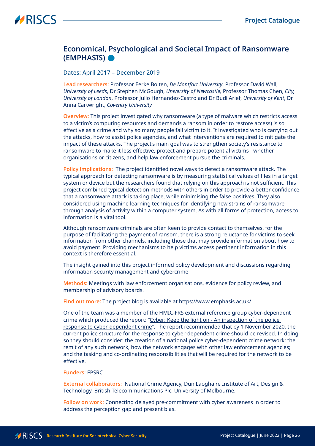### <span id="page-25-0"></span>**Economical, Psychological and Societal Impact of Ransomware (EMPHASIS)**

#### Dates: April 2017 – December 2019

**Lead researchers:** Professor Eerke Boiten, *De Montfort University*, Professor David Wall, *University of Leeds*, Dr Stephen McGough, *University of Newcastle,* Professor Thomas Chen, *City, University of London*, Professor Julio Hernandez-Castro and Dr Budi Arief, *University of Kent*, Dr Anna Cartwright, *Coventry University*

**Overview:** This project investigated why ransomware (a type of malware which restricts access to a victim's computing resources and demands a ransom in order to restore access) is so effective as a crime and why so many people fall victim to it. It investigated who is carrying out the attacks, how to assist police agencies, and what interventions are required to mitigate the impact of these attacks. The project's main goal was to strengthen society's resistance to ransomware to make it less effective, protect and prepare potential victims - whether organisations or citizens, and help law enforcement pursue the criminals.

**Policy implications:** The project identified novel ways to detect a ransomware attack. The typical approach for detecting ransomware is by measuring statistical values of files in a target system or device but the researchers found that relying on this approach is not sufficient. This project combined typical detection methods with others in order to provide a better confidence that a ransomware attack is taking place, while minimising the false positives. They also considered using machine learning techniques for identifying new strains of ransomware through analysis of activity within a computer system. As with all forms of protection, access to information is a vital tool.

Although ransomware criminals are often keen to provide contact to themselves, for the purpose of facilitating the payment of ransom, there is a strong reluctance for victims to seek information from other channels, including those that may provide information about how to avoid payment. Providing mechanisms to help victims access pertinent information in this context is therefore essential.

The insight gained into this project informed policy development and discussions regarding information security management and cybercrime

**Methods:** Meetings with law enforcement organisations, evidence for policy review, and membership of advisory boards.

**Find out more:** The project blog is available at<https://www.emphasis.ac.uk/>

One of the team was a member of the HMIC-FRS external reference group cyber-dependent crime which produced the report: ["Cyber: Keep the light on - An inspection of the police](https://www.justiceinspectorates.gov.uk/hmicfrs/publications/keep-the-light-on-police-response-to-cyber-dependent-crime/#:~:text=Cyber%3A%20Keep%20the%20light%20on%20%2D%20An%20inspection%20of%20the%20police,response%20to%20cyber%2Ddependent%20crime.)  [response to cyber-dependent crime](https://www.justiceinspectorates.gov.uk/hmicfrs/publications/keep-the-light-on-police-response-to-cyber-dependent-crime/#:~:text=Cyber%3A%20Keep%20the%20light%20on%20%2D%20An%20inspection%20of%20the%20police,response%20to%20cyber%2Ddependent%20crime.)". The report recommended that by 1 November 2020, the current police structure for the response to cyber-dependent crime should be revised. In doing so they should consider: the creation of a national police cyber-dependent crime network; the remit of any such network, how the network engages with other law enforcement agencies; and the tasking and co-ordinating responsibilities that will be required for the network to be effective.

#### **Funders:** EPSRC

**External collaborators:** National Crime Agency, Dun Laoghaire Institute of Art, Design & Technology, British Telecommunications Plc, University of Melbourne.

**Follow on work:** Connecting delayed pre-commitment with cyber awareness in order to address the perception gap and present bias.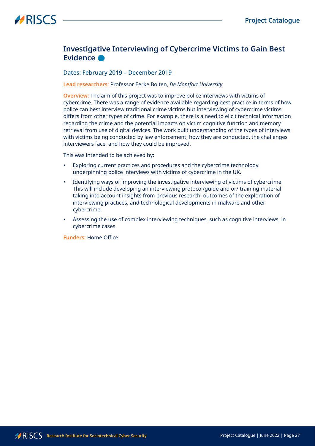### <span id="page-26-0"></span>**Investigative Interviewing of Cybercrime Victims to Gain Best Evidence**

#### Dates: February 2019 – December 2019

#### **Lead researchers:** Professor Eerke Boiten, *De Montfort University*

**Overview:** The aim of this project was to improve police interviews with victims of cybercrime. There was a range of evidence available regarding best practice in terms of how police can best interview traditional crime victims but interviewing of cybercrime victims differs from other types of crime. For example, there is a need to elicit technical information regarding the crime and the potential impacts on victim cognitive function and memory retrieval from use of digital devices. The work built understanding of the types of interviews with victims being conducted by law enforcement, how they are conducted, the challenges interviewers face, and how they could be improved.

This was intended to be achieved by:

- Exploring current practices and procedures and the cybercrime technology underpinning police interviews with victims of cybercrime in the UK.
- Identifying ways of improving the investigative interviewing of victims of cybercrime. This will include developing an interviewing protocol/guide and or/ training material taking into account insights from previous research, outcomes of the exploration of interviewing practices, and technological developments in malware and other cybercrime.
- Assessing the use of complex interviewing techniques, such as cognitive interviews, in cybercrime cases.

**Funders:** Home Office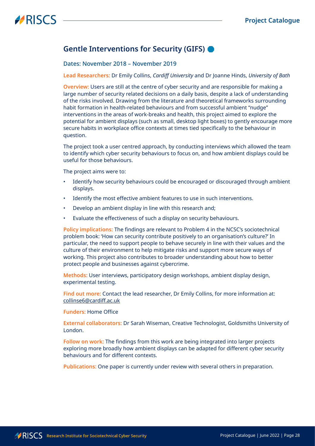### <span id="page-27-0"></span>**Gentle Interventions for Security (GIFS)**

Dates: November 2018 – November 2019

**Lead Researchers:** Dr Emily Collins, *Cardiff University* and Dr Joanne Hinds, *University of Bath*

**Overview:** Users are still at the centre of cyber security and are responsible for making a large number of security related decisions on a daily basis, despite a lack of understanding of the risks involved. Drawing from the literature and theoretical frameworks surrounding habit formation in health-related behaviours and from successful ambient "nudge" interventions in the areas of work-breaks and health, this project aimed to explore the potential for ambient displays (such as small, desktop light boxes) to gently encourage more secure habits in workplace office contexts at times tied specifically to the behaviour in question.

The project took a user centred approach, by conducting interviews which allowed the team to identify which cyber security behaviours to focus on, and how ambient displays could be useful for those behaviours.

The project aims were to:

- Identify how security behaviours could be encouraged or discouraged through ambient displays.
- Identify the most effective ambient features to use in such interventions.
- Develop an ambient display in line with this research and;
- Evaluate the effectiveness of such a display on security behaviours.

**Policy implications:** The findings are relevant to Problem 4 in the NCSC's sociotechnical problem book: 'How can security contribute positively to an organisation's culture?' In particular, the need to support people to behave securely in line with their values and the culture of their environment to help mitigate risks and support more secure ways of working. This project also contributes to broader understanding about how to better protect people and businesses against cybercrime.

**Methods:** User interviews, participatory design workshops, ambient display design, experimental testing.

**Find out more:** Contact the lead researcher, Dr Emily Collins, for more information at: [collinse6@cardiff.ac.uk](mailto:collinse6@cardiff.ac.uk)

**Funders:** Home Office

**External collaborators:** Dr Sarah Wiseman, Creative Technologist, Goldsmiths University of London.

**Follow on work:** The findings from this work are being integrated into larger projects exploring more broadly how ambient displays can be adapted for different cyber security behaviours and for different contexts.

**Publications:** One paper is currently under review with several others in preparation.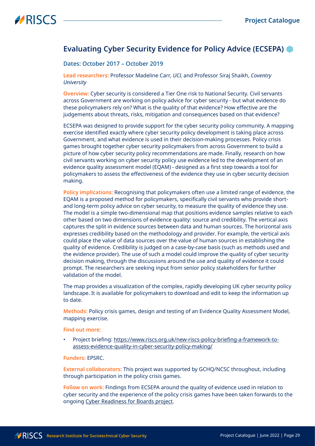### <span id="page-28-0"></span>**Evaluating Cyber Security Evidence for Policy Advice (ECSEPA)**

#### Dates: October 2017 – October 2019

**Lead researchers:** Professor Madeline Carr, *UCL* and Professor Siraj Shaikh, *Coventry University*

**Overview:** Cyber security is considered a Tier One risk to National Security. Civil servants across Government are working on policy advice for cyber security - but what evidence do these policymakers rely on? What is the quality of that evidence? How effective are the judgements about threats, risks, mitigation and consequences based on that evidence?

ECSEPA was designed to provide support for the cyber security policy community. A mapping exercise identified exactly where cyber security policy development is taking place across Government, and what evidence is used in their decision-making processes. Policy crisis games brought together cyber security policymakers from across Government to build a picture of how cyber security policy recommendations are made. Finally, research on how civil servants working on cyber security policy use evidence led to the development of an evidence quality assessment model (EQAM) - designed as a first step towards a tool for policymakers to assess the effectiveness of the evidence they use in cyber security decision making.

**Policy implications:** Recognising that policymakers often use a limited range of evidence, the EQAM is a proposed method for policymakers, specifically civil servants who provide shortand long-term policy advice on cyber security, to measure the quality of evidence they use. The model is a simple two-dimensional map that positions evidence samples relative to each other based on two dimensions of evidence quality: source and credibility. The vertical axis captures the split in evidence sources between data and human sources. The horizontal axis expresses credibility based on the methodology and provider. For example, the vertical axis could place the value of data sources over the value of human sources in establishing the quality of evidence. Credibility is judged on a case-by-case basis (such as methods used and the evidence provider). The use of such a model could improve the quality of cyber security decision making, through the discussions around the use and quality of evidence it could prompt. The researchers are seeking input from senior policy stakeholders for further validation of the model.

The map provides a visualization of the complex, rapidly developing UK cyber security policy landscape. It is available for policymakers to download and edit to keep the information up to date.

**Methods:** Policy crisis games, design and testing of an Evidence Quality Assessment Model, mapping exercise.

#### **Find out more:**

• Project briefing: [https://www.riscs.org.uk/new-riscs-policy-briefing-a-framework-to](https://www.riscs.org.uk/new-riscs-policy-briefing-a-framework-to-assess-evidence-quality-in-cyber-security-policy-making/)[assess-evidence-quality-in-cyber-security-policy-making/](https://www.riscs.org.uk/new-riscs-policy-briefing-a-framework-to-assess-evidence-quality-in-cyber-security-policy-making/)

#### **Funders:** EPSRC.

**External collaborators:** This project was supported by GCHQ/NCSC throughout, including through participation in the policy crisis games.

**Follow on work:** Findings from ECSEPA around the quality of evidence used in relation to cyber security and the experience of the policy crisis games have been taken forwards to the ongoing [Cyber Readiness for Boards project](#page-6-1).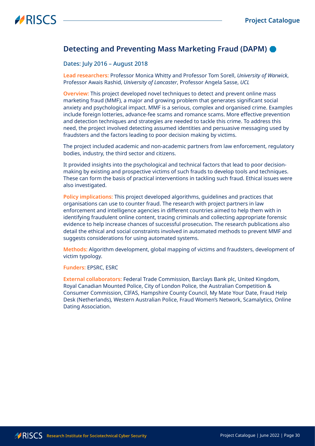### <span id="page-29-0"></span>**Detecting and Preventing Mass Marketing Fraud (DAPM)**

#### Dates: July 2016 – August 2018

**Lead researchers:** Professor Monica Whitty and Professor Tom Sorell, *University of Warwick*, Professor Awais Rashid, *University of Lancaster*, Professor Angela Sasse, *UCL*

**Overview:** This project developed novel techniques to detect and prevent online mass marketing fraud (MMF), a major and growing problem that generates significant social anxiety and psychological impact. MMF is a serious, complex and organised crime. Examples include foreign lotteries, advance-fee scams and romance scams. More effective prevention and detection techniques and strategies are needed to tackle this crime. To address this need, the project involved detecting assumed identities and persuasive messaging used by fraudsters and the factors leading to poor decision making by victims.

The project included academic and non-academic partners from law enforcement, regulatory bodies, industry, the third sector and citizens.

It provided insights into the psychological and technical factors that lead to poor decisionmaking by existing and prospective victims of such frauds to develop tools and techniques. These can form the basis of practical interventions in tackling such fraud. Ethical issues were also investigated.

**Policy implications:** This project developed algorithms, guidelines and practices that organisations can use to counter fraud. The research with project partners in law enforcement and intelligence agencies in different countries aimed to help them with in identifying fraudulent online content, tracing criminals and collecting appropriate forensic evidence to help increase chances of successful prosecution. The research publications also detail the ethical and social constraints involved in automated methods to prevent MMF and suggests considerations for using automated systems.

**Methods:** Algorithm development, global mapping of victims and fraudsters, development of victim typology.

#### **Funders:** EPSRC, ESRC

**External collaborators:** Federal Trade Commission, Barclays Bank plc, United Kingdom, Royal Canadian Mounted Police, City of London Police, the Australian Competition & Consumer Commission, CIFAS, Hampshire County Council, My Mate Your Date, Fraud Help Desk (Netherlands), Western Australian Police, Fraud Women's Network, Scamalytics, Online Dating Association.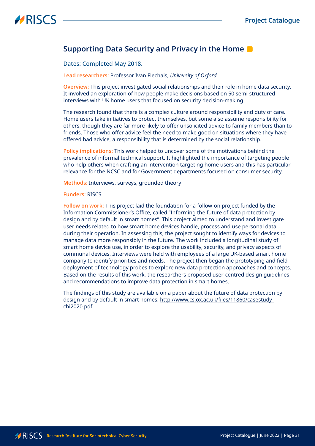### <span id="page-30-0"></span>**Supporting Data Security and Privacy in the Home**

#### Dates: Completed May 2018.

**Lead researchers:** Professor Ivan Flechais, *University of Oxford*

**Overview:** This project investigated social relationships and their role in home data security. It involved an exploration of how people make decisions based on 50 semi-structured interviews with UK home users that focused on security decision-making.

The research found that there is a complex culture around responsibility and duty of care. Home users take initiatives to protect themselves, but some also assume responsibility for others, though they are far more likely to offer unsolicited advice to family members than to friends. Those who offer advice feel the need to make good on situations where they have offered bad advice, a responsibility that is determined by the social relationship.

**Policy implications:** This work helped to uncover some of the motivations behind the prevalence of informal technical support. It highlighted the importance of targeting people who help others when crafting an intervention targeting home users and this has particular relevance for the NCSC and for Government departments focused on consumer security.

**Methods:** Interviews, surveys, grounded theory

#### **Funders:** RISCS

**Follow on work:** This project laid the foundation for a follow-on project funded by the Information Commissioner's Office, called "Informing the future of data protection by design and by default in smart homes". This project aimed to understand and investigate user needs related to how smart home devices handle, process and use personal data during their operation. In assessing this, the project sought to identify ways for devices to manage data more responsibly in the future. The work included a longitudinal study of smart home device use, in order to explore the usability, security, and privacy aspects of communal devices. Interviews were held with employees of a large UK-based smart home company to identify priorities and needs. The project then began the prototyping and field deployment of technology probes to explore new data protection approaches and concepts. Based on the results of this work, the researchers proposed user-centred design guidelines and recommendations to improve data protection in smart homes.

The findings of this study are available on a paper about the future of data protection by design and by default in smart homes: [http://www.cs.ox.ac.uk/files/11860/casestudy](http://www.cs.ox.ac.uk/files/11860/casestudy-chi2020.pdf)[chi2020.pdf](http://www.cs.ox.ac.uk/files/11860/casestudy-chi2020.pdf)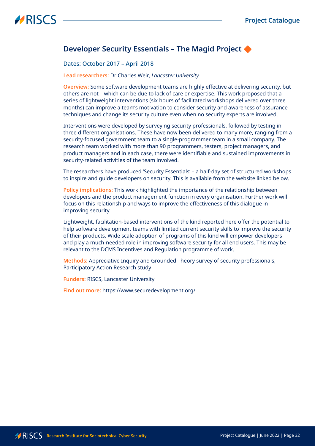### <span id="page-31-0"></span>**Developer Security Essentials – The Magid Project**

#### Dates: October 2017 – April 2018

#### **Lead researchers:** Dr Charles Weir, *Lancaster University*

**Overview:** Some software development teams are highly effective at delivering security, but others are not – which can be due to lack of care or expertise. This work proposed that a series of lightweight interventions (six hours of facilitated workshops delivered over three months) can improve a team's motivation to consider security and awareness of assurance techniques and change its security culture even when no security experts are involved.

Interventions were developed by surveying security professionals, followed by testing in three different organisations. These have now been delivered to many more, ranging from a security-focused government team to a single-programmer team in a small company. The research team worked with more than 90 programmers, testers, project managers, and product managers and in each case, there were identifiable and sustained improvements in security-related activities of the team involved.

The researchers have produced 'Security Essentials' – a half-day set of structured workshops to inspire and guide developers on security. This is available from the website linked below.

**Policy implications:** This work highlighted the importance of the relationship between developers and the product management function in every organisation. Further work will focus on this relationship and ways to improve the effectiveness of this dialogue in improving security.

Lightweight, facilitation-based interventions of the kind reported here offer the potential to help software development teams with limited current security skills to improve the security of their products. Wide scale adoption of programs of this kind will empower developers and play a much-needed role in improving software security for all end users. This may be relevant to the DCMS Incentives and Regulation programme of work.

**Methods:** Appreciative Inquiry and Grounded Theory survey of security professionals, Participatory Action Research study

**Funders:** RISCS, Lancaster University

**Find out more:** <https://www.securedevelopment.org/>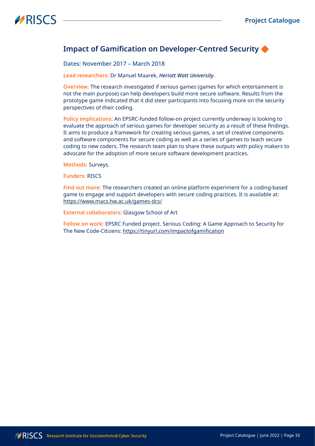### <span id="page-32-0"></span>**Impact of Gamification on Developer-Centred Security**

Dates: November 2017 – March 2018

**Lead researchers:** Dr Manuel Maarek, *Heriott Watt University*.

**Overview:** The research investigated if serious games (games for which entertainment is not the main purpose) can help developers build more secure software. Results from the prototype game indicated that it did steer participants into focusing more on the security perspectives of their coding.

**Policy implications:** An EPSRC-funded follow-on project currently underway is looking to evaluate the approach of serious games for developer security as a result of these findings. It aims to produce a framework for creating serious games, a set of creative components and software components for secure coding as well as a series of games to teach secure coding to new coders. The research team plan to share these outputs with policy makers to advocate for the adoption of more secure software development practices.

**Methods:** Surveys.

**Funders:** RISCS

**Find out more:** The researchers created an online platform experiment for a coding-based game to engage and support developers with secure coding practices. It is available at: <https://www.macs.hw.ac.uk/games-dcs/>

**External collaborators:** Glasgow School of Art

**Follow on work:** EPSRC Funded project. Serious Coding: A Game Approach to Security for The New Code-Citizens: <https://tinyurl.com/impactofgamification>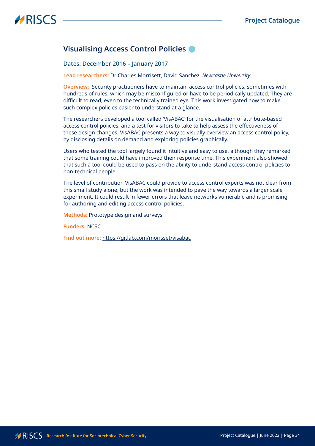### <span id="page-33-0"></span>**Visualising Access Control Policies**

#### Dates: December 2016 – January 2017

**Lead researchers:** Dr Charles Morrisett, David Sanchez, *Newcastle University*

**Overview:** Security practitioners have to maintain access control policies, sometimes with hundreds of rules, which may be misconfigured or have to be periodically updated. They are difficult to read, even to the technically trained eye. This work investigated how to make such complex policies easier to understand at a glance.

The researchers developed a tool called 'VisABAC' for the visualisation of attribute-based access control policies, and a test for visitors to take to help assess the effectiveness of these design changes. VisABAC presents a way to visually overview an access control policy, by disclosing details on demand and exploring policies graphically.

Users who tested the tool largely found it intuitive and easy to use, although they remarked that some training could have improved their response time. This experiment also showed that such a tool could be used to pass on the ability to understand access control policies to non-technical people.

The level of contribution VisABAC could provide to access control experts was not clear from this small study alone, but the work was intended to pave the way towards a larger scale experiment. It could result in fewer errors that leave networks vulnerable and is promising for authoring and editing access control policies.

**Methods:** Prototype design and surveys.

**Funders:** NCSC

**Find out more:** <https://gitlab.com/morisset/visabac>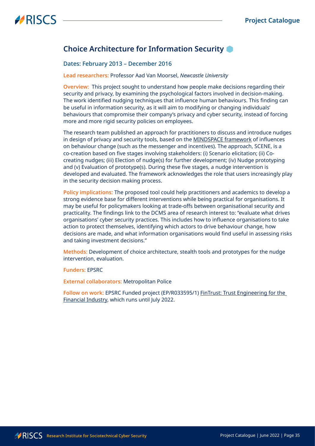## <span id="page-34-0"></span>**Choice Architecture for Information Security**

#### Dates: February 2013 – December 2016

**Lead researchers:** Professor Aad Van Moorsel, *Newcastle University*

**Overview:** This project sought to understand how people make decisions regarding their security and privacy, by examining the psychological factors involved in decision-making. The work identified nudging techniques that influence human behaviours. This finding can be useful in information security, as it will aim to modifying or changing individuals' behaviours that compromise their company's privacy and cyber security, instead of forcing more and more rigid security policies on employees.

The research team published an approach for practitioners to discuss and introduce nudges in design of privacy and security tools, based on the [MINDSPACE framework](https://www.bi.team/publications/mindspace/) of influences on behaviour change (such as the messenger and incentives). The approach, SCENE, is a co-creation based on five stages involving stakeholders: (i) Scenario elicitation; (ii) Cocreating nudges; (iii) Election of nudge(s) for further development; (iv) Nudge prototyping and (v) Evaluation of prototype(s). During these five stages, a nudge intervention is developed and evaluated. The framework acknowledges the role that users increasingly play in the security decision making process.

**Policy implications:** The proposed tool could help practitioners and academics to develop a strong evidence base for different interventions while being practical for organisations. It may be useful for policymakers looking at trade-offs between organisational security and practicality. The findings link to the DCMS area of research interest to: "evaluate what drives organisations' cyber security practices. This includes how to influence organisations to take action to protect themselves, identifying which actors to drive behaviour change, how decisions are made, and what information organisations would find useful in assessing risks and taking investment decisions."

**Methods:** Development of choice architecture, stealth tools and prototypes for the nudge intervention, evaluation.

**Funders:** EPSRC

**External collaborators:** Metropolitan Police

**Follow on work:** EPSRC Funded project (EP/R033595/1) [FinTrust: Trust Engineering for the](https://gtr.ukri.org/projects?ref=EP%2FR033595%2F1#/tabOverview)  [Financial Industry,](https://gtr.ukri.org/projects?ref=EP%2FR033595%2F1#/tabOverview) which runs until July 2022.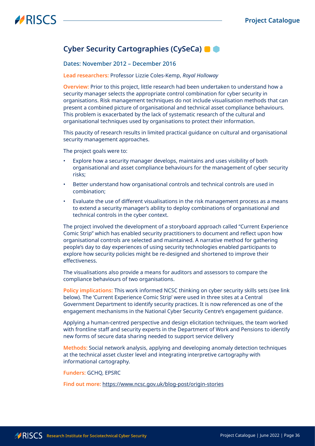## <span id="page-35-1"></span><span id="page-35-0"></span>**Cyber Security Cartographies (CySeCa)**

#### Dates: November 2012 – December 2016

#### **Lead researchers:** Professor Lizzie Coles-Kemp, *Royal Holloway*

**Overview:** Prior to this project, little research had been undertaken to understand how a security manager selects the appropriate control combination for cyber security in organisations. Risk management techniques do not include visualisation methods that can present a combined picture of organisational and technical asset compliance behaviours. This problem is exacerbated by the lack of systematic research of the cultural and organisational techniques used by organisations to protect their information.

This paucity of research results in limited practical guidance on cultural and organisational security management approaches.

The project goals were to:

- Explore how a security manager develops, maintains and uses visibility of both organisational and asset compliance behaviours for the management of cyber security risks;
- Better understand how organisational controls and technical controls are used in combination;
- Evaluate the use of different visualisations in the risk management process as a means to extend a security manager's ability to deploy combinations of organisational and technical controls in the cyber context.

The project involved the development of a storyboard approach called "Current Experience Comic Strip" which has enabled security practitioners to document and reflect upon how organisational controls are selected and maintained. A narrative method for gathering people's day to day experiences of using security technologies enabled participants to explore how security policies might be re-designed and shortened to improve their effectiveness.

The visualisations also provide a means for auditors and assessors to compare the compliance behaviours of two organisations.

**Policy implications:** This work informed NCSC thinking on cyber security skills sets (see link below). The 'Current Experience Comic Strip' were used in three sites at a Central Government Department to identify security practices. It is now referenced as one of the engagement mechanisms in the National Cyber Security Centre's engagement guidance.

Applying a human-centred perspective and design elicitation techniques, the team worked with frontline staff and security experts in the Department of Work and Pensions to identify new forms of secure data sharing needed to support service delivery

**Methods:** Social network analysis, applying and developing anomaly detection techniques at the technical asset cluster level and integrating interpretive cartography with informational cartography.

**Funders:** GCHQ, EPSRC

**Find out more:** [https://www.ncsc.gov.uk/blog-post/origin-storie](https://www.ncsc.gov.uk/blog-post/origin-stories)s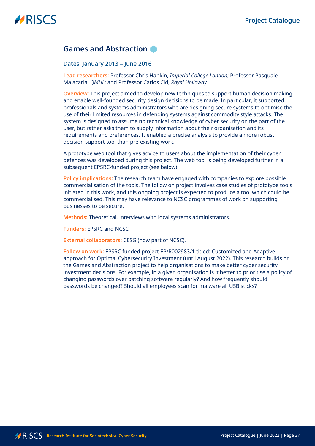### <span id="page-36-0"></span>**Games and Abstraction**

Dates: January 2013 – June 2016

**Lead researchers:** Professor Chris Hankin, *Imperial College London*; Professor Pasquale Malacaria, *QMUL*; and Professor Carlos Cid, *Royal Holloway*

**Overview:** This project aimed to develop new techniques to support human decision making and enable well-founded security design decisions to be made. In particular, it supported professionals and systems administrators who are designing secure systems to optimise the use of their limited resources in defending systems against commodity style attacks. The system is designed to assume no technical knowledge of cyber security on the part of the user, but rather asks them to supply information about their organisation and its requirements and preferences. It enabled a precise analysis to provide a more robust decision support tool than pre-existing work.

A prototype web tool that gives advice to users about the implementation of their cyber defences was developed during this project. The web tool is being developed further in a subsequent EPSRC-funded project (see below).

**Policy implications:** The research team have engaged with companies to explore possible commercialisation of the tools. The follow on project involves case studies of prototype tools initiated in this work, and this ongoing project is expected to produce a tool which could be commercialised. This may have relevance to NCSC programmes of work on supporting businesses to be secure.

**Methods:** Theoretical, interviews with local systems administrators.

**Funders:** EPSRC and NCSC

**External collaborators:** CESG (now part of NCSC).

**Follow on work:** [EPSRC funded project EP/R002983/1](https://gtr.ukri.org/projects?ref=EP%2FR002983%2F1) titled: Customized and Adaptive approach for Optimal Cybersecurity Investment (until August 2022). This research builds on the Games and Abstraction project to help organisations to make better cyber security investment decisions. For example, in a given organisation is it better to prioritise a policy of changing passwords over patching software regularly? And how frequently should passwords be changed? Should all employees scan for malware all USB sticks?